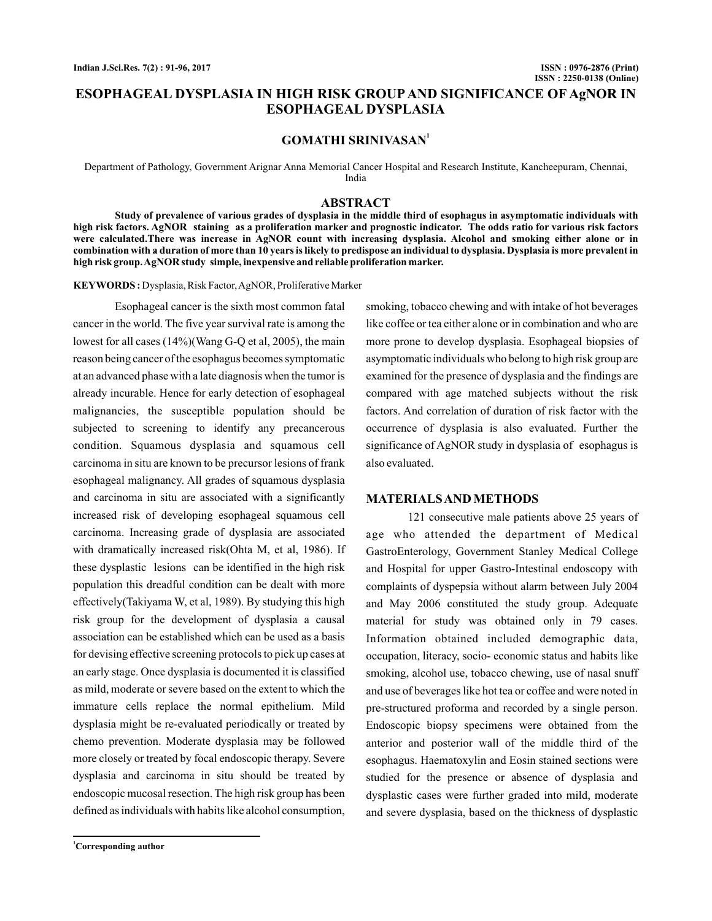# **ESOPHAGEAL DYSPLASIA IN HIGH RISK GROUP AND SIGNIFICANCE OF AgNOR IN ESOPHAGEAL DYSPLASIA**

# **GOMATHI SRINIVASAN<sup>1</sup>**

Department of Pathology, Government Arignar Anna Memorial Cancer Hospital and Research Institute, Kancheepuram, Chennai, India

#### **ABSTRACT**

**Study of prevalence of various grades of dysplasia in the middle third of esophagus in asymptomatic individuals with high risk factors. AgNOR staining as a proliferation marker and prognostic indicator. The odds ratio for various risk factors were calculated.There was increase in AgNOR count with increasing dysplasia. Alcohol and smoking either alone or in combination with a duration of more than 10 years is likely to predispose an individual to dysplasia. Dysplasia is more prevalent in high risk group.AgNOR study simple, inexpensive and reliable proliferation marker.**

KEYWORDS: Dysplasia, Risk Factor, AgNOR, Proliferative Marker

Esophageal cancer is the sixth most common fatal cancer in the world. The five year survival rate is among the lowest for all cases (14%)(Wang G-Q et al, 2005), the main reason being cancer of the esophagus becomes symptomatic at an advanced phase with a late diagnosis when the tumor is already incurable. Hence for early detection of esophageal malignancies, the susceptible population should be subjected to screening to identify any precancerous condition. Squamous dysplasia and squamous cell carcinoma in situ are known to be precursor lesions of frank esophageal malignancy. All grades of squamous dysplasia and carcinoma in situ are associated with a significantly increased risk of developing esophageal squamous cell carcinoma. Increasing grade of dysplasia are associated with dramatically increased risk(Ohta M, et al, 1986). If these dysplastic lesions can be identified in the high risk population this dreadful condition can be dealt with more effectively(Takiyama W, et al, 1989). By studying this high risk group for the development of dysplasia a causal association can be established which can be used as a basis for devising effective screening protocols to pick up cases at an early stage. Once dysplasia is documented it is classified as mild, moderate or severe based on the extent to which the immature cells replace the normal epithelium. Mild dysplasia might be re-evaluated periodically or treated by chemo prevention. Moderate dysplasia may be followed more closely or treated by focal endoscopic therapy. Severe dysplasia and carcinoma in situ should be treated by endoscopic mucosal resection. The high risk group has been defined as individuals with habits like alcohol consumption,

like coffee or tea either alone or in combination and who are more prone to develop dysplasia. Esophageal biopsies of asymptomatic individuals who belong to high risk group are examined for the presence of dysplasia and the findings are compared with age matched subjects without the risk factors. And correlation of duration of risk factor with the occurrence of dysplasia is also evaluated. Further the significance of AgNOR study in dysplasia of esophagus is also evaluated.

smoking, tobacco chewing and with intake of hot beverages

## **MATERIALSANDMETHODS**

121 consecutive male patients above 25 years of age who attended the department of Medical GastroEnterology, Government Stanley Medical College and Hospital for upper Gastro-Intestinal endoscopy with complaints of dyspepsia without alarm between July 2004 and May 2006 constituted the study group. Adequate material for study was obtained only in 79 cases. Information obtained included demographic data, occupation, literacy, socio- economic status and habits like smoking, alcohol use, tobacco chewing, use of nasal snuff and use of beverages like hot tea or coffee and were noted in pre-structured proforma and recorded by a single person. Endoscopic biopsy specimens were obtained from the anterior and posterior wall of the middle third of the esophagus. Haematoxylin and Eosin stained sections were studied for the presence or absence of dysplasia and dysplastic cases were further graded into mild, moderate and severe dysplasia, based on the thickness of dysplastic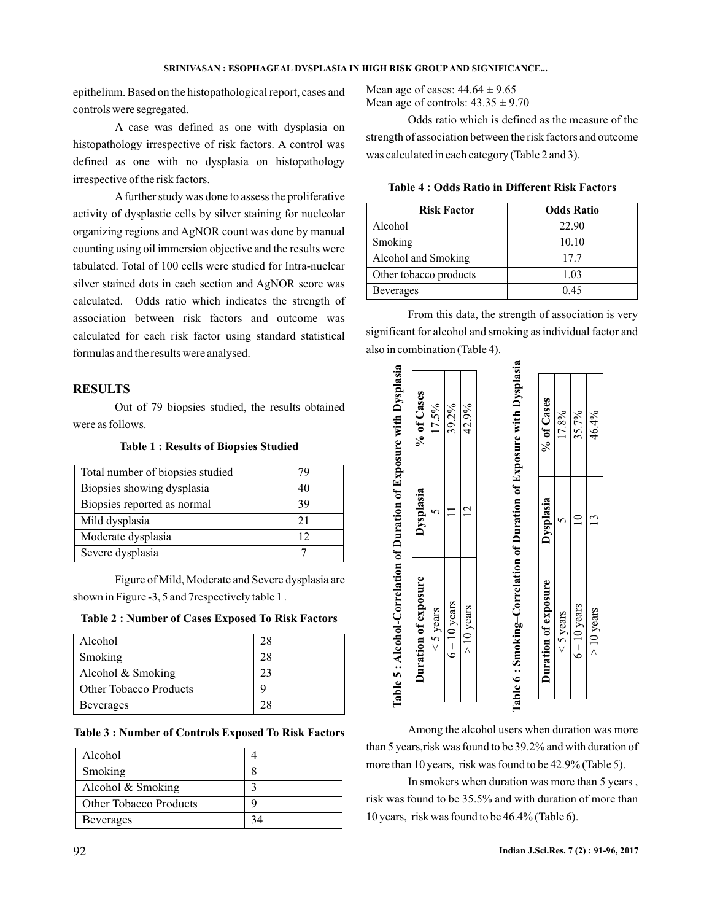epithelium. Based on the histopathological report, cases and controls were segregated.

A case was defined as one with dysplasia on histopathology irrespective of risk factors. A control was defined as one with no dysplasia on histopathology irrespective of the risk factors.

A further study was done to assess the proliferative activity of dysplastic cells by silver staining for nucleolar organizing regions and AgNOR count was done by manual counting using oil immersion objective and the results were tabulated. Total of 100 cells were studied for Intra-nuclear silver stained dots in each section and AgNOR score was calculated. Odds ratio which indicates the strength of association between risk factors and outcome was calculated for each risk factor using standard statistical formulas and the results were analysed.

# **RESULTS**

Out of 79 biopsies studied, the results obtained were as follows.

**Table 1 : Results of Biopsies Studied**

| Total number of biopsies studied | 7 Y |
|----------------------------------|-----|
| Biopsies showing dysplasia       | 40  |
| Biopsies reported as normal      | 39  |
| Mild dysplasia                   | 21  |
| Moderate dysplasia               | 12  |
| Severe dysplasia                 |     |

Figure of Mild, Moderate and Severe dysplasia are shown in Figure -3, 5 and 7respectively table 1 .

#### **Table 2 : Number of Cases Exposed To Risk Factors**

| Alcohol                       | 28 |
|-------------------------------|----|
| Smoking                       | 28 |
| Alcohol $&$ Smoking           | 23 |
| <b>Other Tobacco Products</b> |    |
| Beverages                     | 28 |

**Table 3 : Number of Controls Exposed To Risk Factors**

| Alcohol                       |  |
|-------------------------------|--|
| Smoking                       |  |
| Alcohol & Smoking             |  |
| <b>Other Tobacco Products</b> |  |
| <b>Beverages</b>              |  |

Mean age of cases:  $44.64 \pm 9.65$ Mean age of controls:  $43.35 \pm 9.70$ 

Odds ratio which is defined as the measure of the strength of association between the risk factors and outcome was calculated in each category (Table 2 and 3).

| <b>Risk Factor</b>     | <b>Odds Ratio</b> |
|------------------------|-------------------|
| Alcohol                | 22.90             |
| Smoking                | 10.10             |
| Alcohol and Smoking    | 17.7              |
| Other tobacco products | 1.03              |
| <b>Beverages</b>       | 0.45              |

From this data, the strength of association is very significant for alcohol and smoking as individual factor and also in combination (Table 4).



Among the alcohol users when duration was more than 5 years,risk was found to be 39.2% and with duration of more than 10 years, risk was found to be 42.9% (Table 5).

In smokers when duration was more than 5 years , risk was found to be 35.5% and with duration of more than 10 years, risk was found to be 46.4% (Table 6).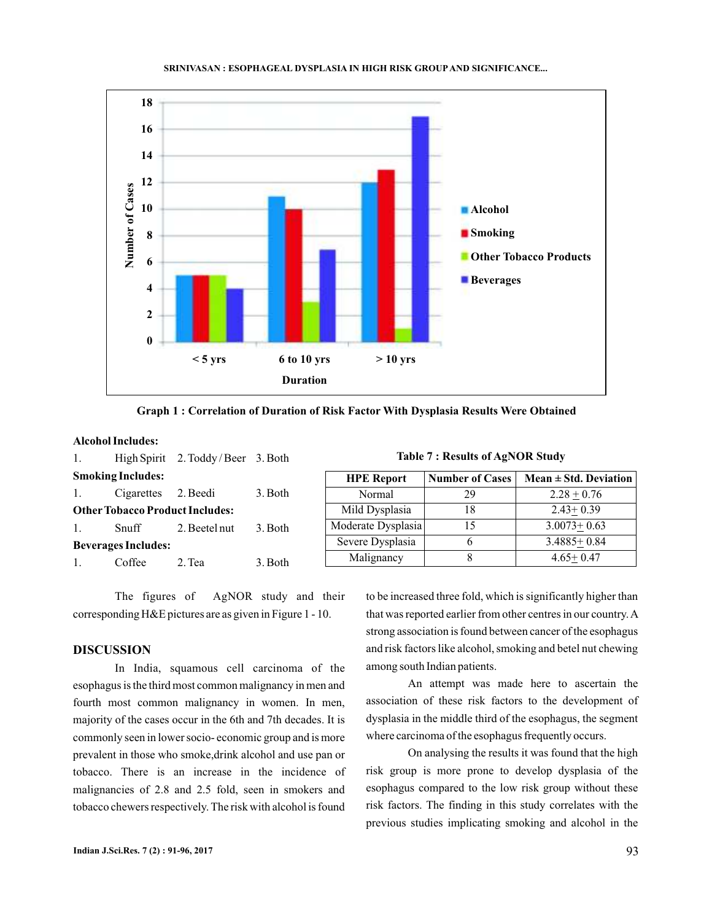

**Graph 1 : Correlation of Duration of Risk Factor With Dysplasia Results Were Obtained**

## **Alcohol Includes:**

| 1.                                     |                          | High Spirit 2. Toddy / Beer 3. Both |         | <b>Table 7: Results of AgNOR Study</b> |                        |                           |
|----------------------------------------|--------------------------|-------------------------------------|---------|----------------------------------------|------------------------|---------------------------|
|                                        | <b>Smoking Includes:</b> |                                     |         | <b>HPE Report</b>                      | <b>Number of Cases</b> | Mean $\pm$ Std. Deviation |
|                                        | Cigarettes               | 2. Beedi                            | 3. Both | Normal                                 | 29                     | $2.28 + 0.76$             |
| <b>Other Tobacco Product Includes:</b> |                          | Mild Dysplasia                      | 18      | $2.43+0.39$                            |                        |                           |
|                                        | Snuff                    | 2. Beetel nut                       | 3. Both | Moderate Dysplasia                     | 15                     | $3.0073 + 0.63$           |
| <b>Beverages Includes:</b>             |                          | Severe Dysplasia                    | 6       | $3.4885+0.84$                          |                        |                           |
|                                        | Coffee                   | 2. Tea                              | 3. Both | Malignancy                             | 8                      | $4.65 + 0.47$             |
|                                        |                          |                                     |         |                                        |                        |                           |

The figures of AgNOR study and their corresponding H&E pictures are as given in Figure 1 - 10.

## **DISCUSSION**

In India, squamous cell carcinoma of the esophagus is the third most common malignancy in men and fourth most common malignancy in women. In men, majority of the cases occur in the 6th and 7th decades. It is commonly seen in lower socio- economic group and is more prevalent in those who smoke,drink alcohol and use pan or tobacco. There is an increase in the incidence of malignancies of 2.8 and 2.5 fold, seen in smokers and tobacco chewers respectively. The risk with alcohol is found to be increased three fold, which is significantly higher than that was reported earlier from other centres in our country.A strong association is found between cancer of the esophagus and risk factors like alcohol, smoking and betel nut chewing among south Indian patients.

An attempt was made here to ascertain the association of these risk factors to the development of dysplasia in the middle third of the esophagus, the segment where carcinoma of the esophagus frequently occurs.

On analysing the results it was found that the high risk group is more prone to develop dysplasia of the esophagus compared to the low risk group without these risk factors. The finding in this study correlates with the previous studies implicating smoking and alcohol in the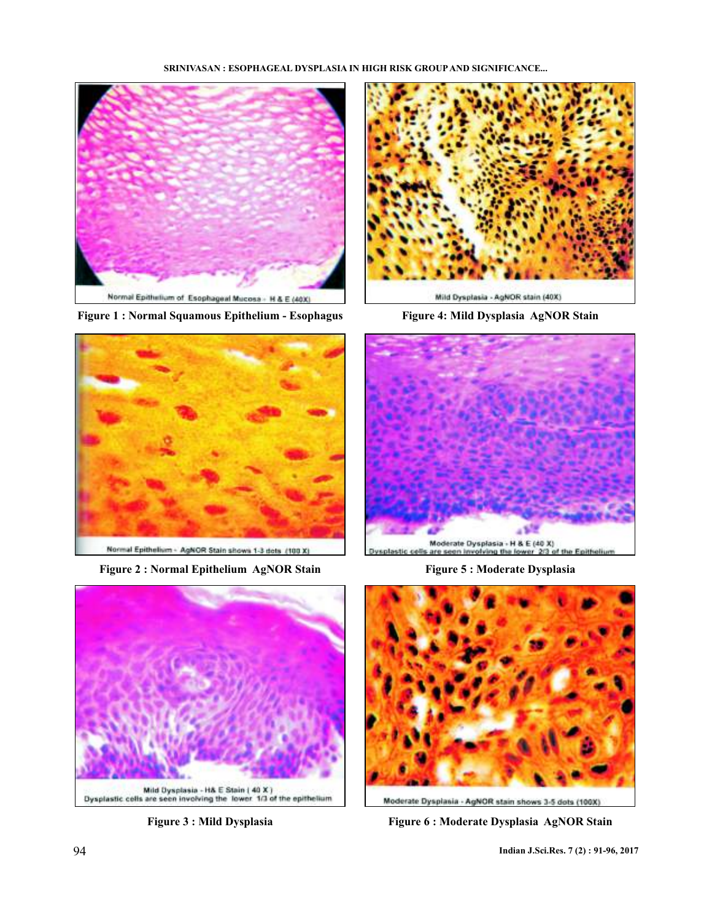#### **SRINIVASAN : ESOPHAGEAL DYSPLASIA IN HIGH RISK GROUP AND SIGNIFICANCE...**



**Figure 1 : Normal Squamous Epithelium - Esophagus Figure 4: Mild Dysplasia AgNOR Stain**



**Figure 2 : Normal Epithelium AgNOR Stain Figure 5 : Moderate Dysplasia**









Moderate Dysplasia - AgNOR stain shows 3-5 dots (100X)

**Figure 3 : Mild Dysplasia Figure 6 : Moderate Dysplasia AgNOR Stain**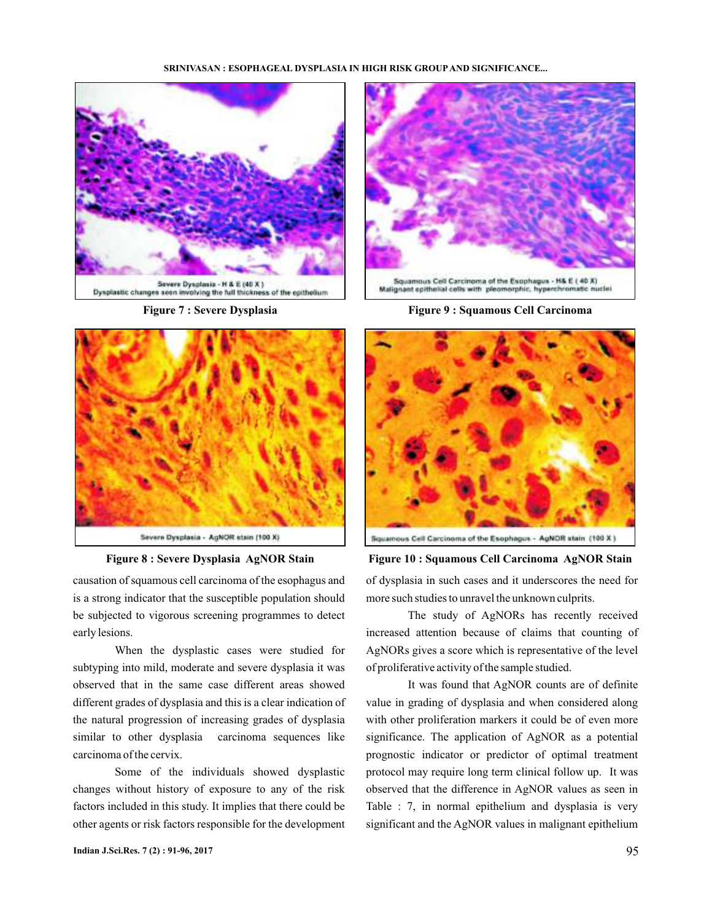#### **SRINIVASAN : ESOPHAGEAL DYSPLASIA IN HIGH RISK GROUP AND SIGNIFICANCE...**



**Figure 7 : Severe Dysplasia**



**Figure 8 : Severe Dysplasia AgNOR Stain**

causation of squamous cell carcinoma of the esophagus and is a strong indicator that the susceptible population should be subjected to vigorous screening programmes to detect early lesions.

When the dysplastic cases were studied for subtyping into mild, moderate and severe dysplasia it was observed that in the same case different areas showed different grades of dysplasia and this is a clear indication of the natural progression of increasing grades of dysplasia similar to other dysplasia carcinoma sequences like carcinoma of the cervix.

Some of the individuals showed dysplastic changes without history of exposure to any of the risk factors included in this study. It implies that there could be other agents or risk factors responsible for the development



**Figure 9 : Squamous Cell Carcinoma**



**Figure 10 : Squamous Cell Carcinoma AgNOR Stain**

of dysplasia in such cases and it underscores the need for more such studies to unravel the unknown culprits.

The study of AgNORs has recently received increased attention because of claims that counting of AgNORs gives a score which is representative of the level of proliferative activity of the sample studied.

It was found that AgNOR counts are of definite value in grading of dysplasia and when considered along with other proliferation markers it could be of even more significance. The application of AgNOR as a potential prognostic indicator or predictor of optimal treatment protocol may require long term clinical follow up. It was observed that the difference in AgNOR values as seen in Table : 7, in normal epithelium and dysplasia is very significant and the AgNOR values in malignant epithelium